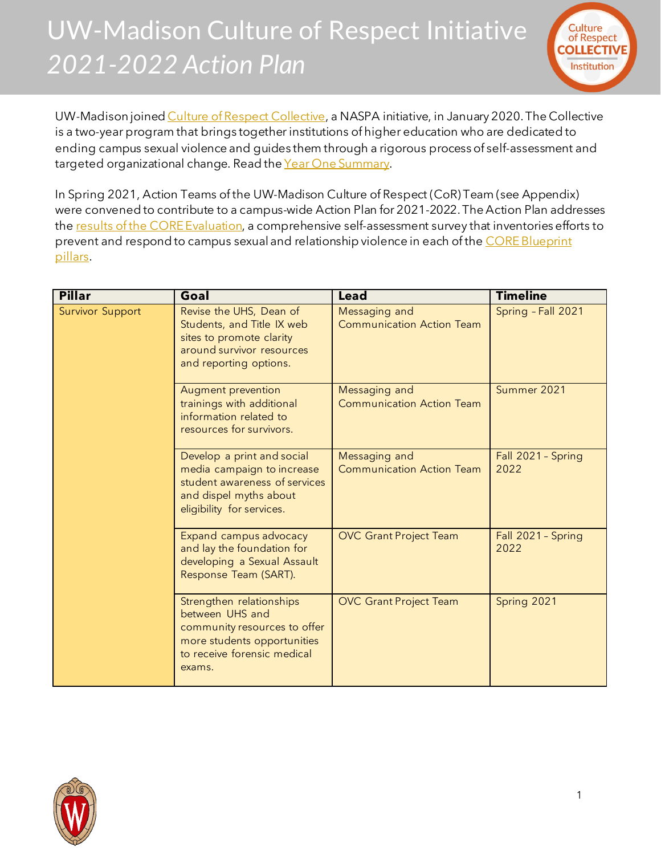## UW-Madison Culture of Respect Initiative *2021-2022 Action Plan*



UW-Madison joine[d Culture of Respect Collective](https://cultureofrespect.org/programs-and-tools/the-collective/), a NASPA initiative, in January 2020. The Collective is a two-year program that brings together institutions of higher education who are dedicated to ending campus sexual violence and guides them through a rigorous process of self-assessment and targeted organizational change. Read the Year [One Summary.](https://www.uhs.wisc.edu/wp-content/uploads/2021/02/UW-Madison-Culture-of-Respect-Initiative_Year-One-Summary.pdf)

In Spring 2021, Action Teams of the UW-Madison Culture of Respect (CoR) Team (see Appendix) were convened to contribute to a campus-wide Action Plan for 2021-2022. The Action Plan addresses the [results of the CORE Evaluation,](https://www.uhs.wisc.edu/wp-content/uploads/2020/11/Baseline-Results-Summary-reduced-file-size.pdf) a comprehensive self-assessment survey that inventories efforts to prevent and respond to campus sexual and relationship violence in each of the CORE Blueprint [pillars.](https://cultureofrespect.org/programs-and-tools/signature-tools/)

| <b>Pillar</b>           | Goal                                                                                                                                                | <b>Lead</b>                                       | <b>Timeline</b>            |
|-------------------------|-----------------------------------------------------------------------------------------------------------------------------------------------------|---------------------------------------------------|----------------------------|
| <b>Survivor Support</b> | Revise the UHS, Dean of<br>Students, and Title IX web<br>sites to promote clarity<br>around survivor resources<br>and reporting options.            | Messaging and<br><b>Communication Action Team</b> | Spring - Fall 2021         |
|                         | Augment prevention<br>trainings with additional<br>information related to<br>resources for survivors.                                               | Messaging and<br><b>Communication Action Team</b> | Summer 2021                |
|                         | Develop a print and social<br>media campaign to increase<br>student awareness of services<br>and dispel myths about<br>eligibility for services.    | Messaging and<br><b>Communication Action Team</b> | Fall 2021 - Spring<br>2022 |
|                         | Expand campus advocacy<br>and lay the foundation for<br>developing a Sexual Assault<br>Response Team (SART).                                        | <b>OVC</b> Grant Project Team                     | Fall 2021 - Spring<br>2022 |
|                         | Strengthen relationships<br>between UHS and<br>community resources to offer<br>more students opportunities<br>to receive forensic medical<br>exams. | <b>OVC</b> Grant Project Team                     | Spring 2021                |

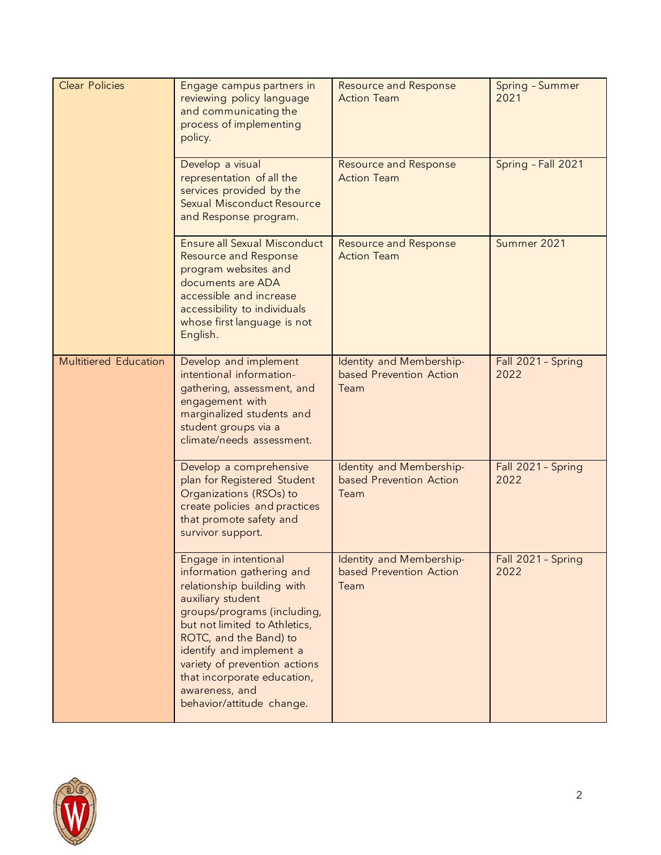| <b>Clear Policies</b>        | Engage campus partners in<br>reviewing policy language<br>and communicating the<br>process of implementing<br>policy.                                                                                                                                                                                                                      | <b>Resource and Response</b><br><b>Action Team</b>          | Spring - Summer<br>2021    |
|------------------------------|--------------------------------------------------------------------------------------------------------------------------------------------------------------------------------------------------------------------------------------------------------------------------------------------------------------------------------------------|-------------------------------------------------------------|----------------------------|
|                              | Develop a visual<br>representation of all the<br>services provided by the<br><b>Sexual Misconduct Resource</b><br>and Response program.                                                                                                                                                                                                    | <b>Resource and Response</b><br><b>Action Team</b>          | Spring - Fall 2021         |
|                              | <b>Ensure all Sexual Misconduct</b><br><b>Resource and Response</b><br>program websites and<br>documents are ADA<br>accessible and increase<br>accessibility to individuals<br>whose first language is not<br>English.                                                                                                                     | <b>Resource and Response</b><br><b>Action Team</b>          | Summer 2021                |
| <b>Multitiered Education</b> | Develop and implement<br>intentional information-<br>gathering, assessment, and<br>engagement with<br>marginalized students and<br>student groups via a<br>climate/needs assessment.                                                                                                                                                       | Identity and Membership-<br>based Prevention Action<br>Team | Fall 2021 - Spring<br>2022 |
|                              | Develop a comprehensive<br>plan for Registered Student<br>Organizations (RSOs) to<br>create policies and practices<br>that promote safety and<br>survivor support.                                                                                                                                                                         | Identity and Membership-<br>based Prevention Action<br>Team | Fall 2021 - Spring<br>2022 |
|                              | Engage in intentional<br>information gathering and<br>relationship building with<br>auxiliary student<br>groups/programs (including,<br>but not limited to Athletics,<br>ROTC, and the Band) to<br>identify and implement a<br>variety of prevention actions<br>that incorporate education,<br>awareness, and<br>behavior/attitude change. | Identity and Membership-<br>based Prevention Action<br>Team | Fall 2021 - Spring<br>2022 |

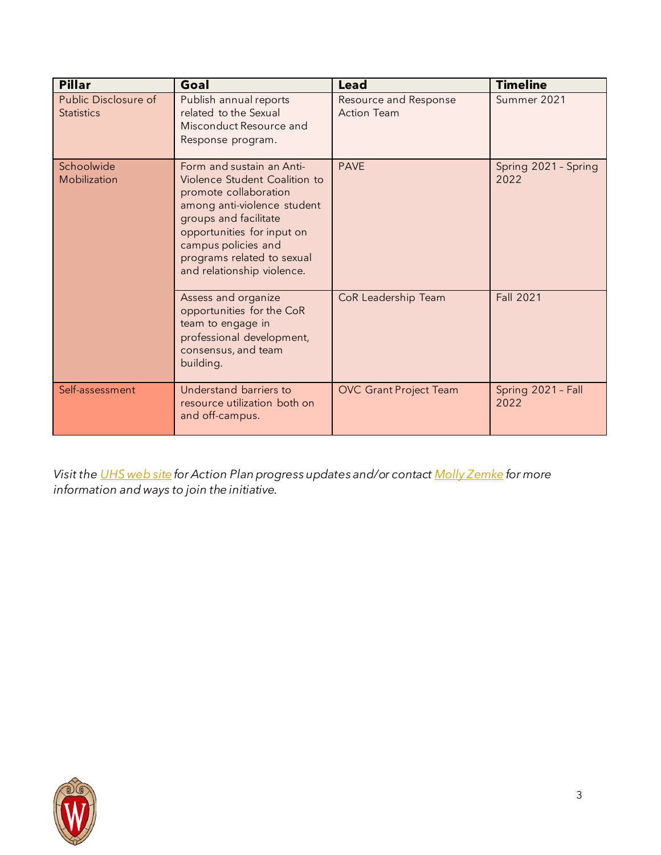| <b>Pillar</b>                             | Goal                                                                                                                                                                                                                                                         | Lead                                        | <b>Timeline</b>              |
|-------------------------------------------|--------------------------------------------------------------------------------------------------------------------------------------------------------------------------------------------------------------------------------------------------------------|---------------------------------------------|------------------------------|
| Public Disclosure of<br><b>Statistics</b> | Publish annual reports<br>related to the Sexual<br>Misconduct Resource and<br>Response program.                                                                                                                                                              | Resource and Response<br><b>Action Team</b> | Summer 2021                  |
| Schoolwide<br>Mobilization                | Form and sustain an Anti-<br>Violence Student Coalition to<br>promote collaboration<br>among anti-violence student<br>groups and facilitate<br>opportunities for input on<br>campus policies and<br>programs related to sexual<br>and relationship violence. | <b>PAVE</b>                                 | Spring 2021 - Spring<br>2022 |
|                                           | Assess and organize<br>opportunities for the CoR<br>team to engage in<br>professional development,<br>consensus, and team<br>building.                                                                                                                       | CoR Leadership Team                         | <b>Fall 2021</b>             |
| Self-assessment                           | Understand barriers to<br>resource utilization both on<br>and off-campus.                                                                                                                                                                                    | <b>OVC</b> Grant Project Team               | Spring 2021 - Fall<br>2022   |

*Visit th[e UHS web site](https://www.uhs.wisc.edu/prevention/violence-prevention/culture-of-respect/) for Action Plan progress updates and/or contac[t Molly Zemke](mailto:molly.zemke@wisc.edu) for more information and ways to join the initiative.*